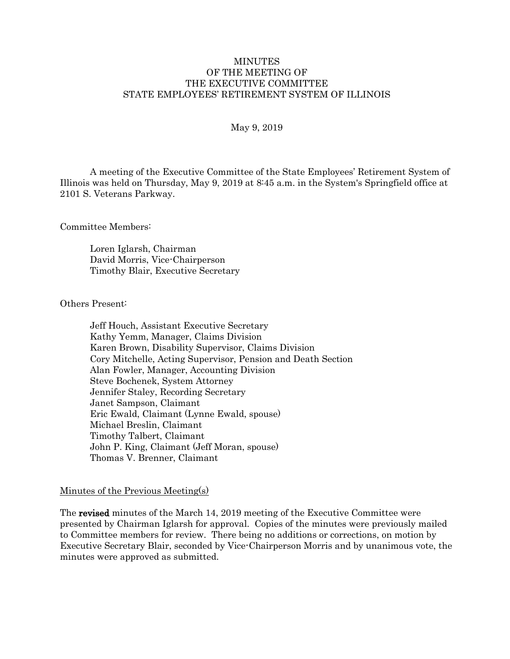#### **MINUTES** OF THE MEETING OF THE EXECUTIVE COMMITTEE STATE EMPLOYEES' RETIREMENT SYSTEM OF ILLINOIS

#### May 9, 2019

A meeting of the Executive Committee of the State Employees' Retirement System of Illinois was held on Thursday, May 9, 2019 at 8:45 a.m. in the System's Springfield office at 2101 S. Veterans Parkway.

Committee Members:

Loren Iglarsh, Chairman David Morris, Vice-Chairperson Timothy Blair, Executive Secretary

Others Present:

Jeff Houch, Assistant Executive Secretary Kathy Yemm, Manager, Claims Division Karen Brown, Disability Supervisor, Claims Division Cory Mitchelle, Acting Supervisor, Pension and Death Section Alan Fowler, Manager, Accounting Division Steve Bochenek, System Attorney Jennifer Staley, Recording Secretary Janet Sampson, Claimant Eric Ewald, Claimant (Lynne Ewald, spouse) Michael Breslin, Claimant Timothy Talbert, Claimant John P. King, Claimant (Jeff Moran, spouse) Thomas V. Brenner, Claimant

#### Minutes of the Previous Meeting(s)

The revised minutes of the March 14, 2019 meeting of the Executive Committee were presented by Chairman Iglarsh for approval. Copies of the minutes were previously mailed to Committee members for review. There being no additions or corrections, on motion by Executive Secretary Blair, seconded by Vice-Chairperson Morris and by unanimous vote, the minutes were approved as submitted.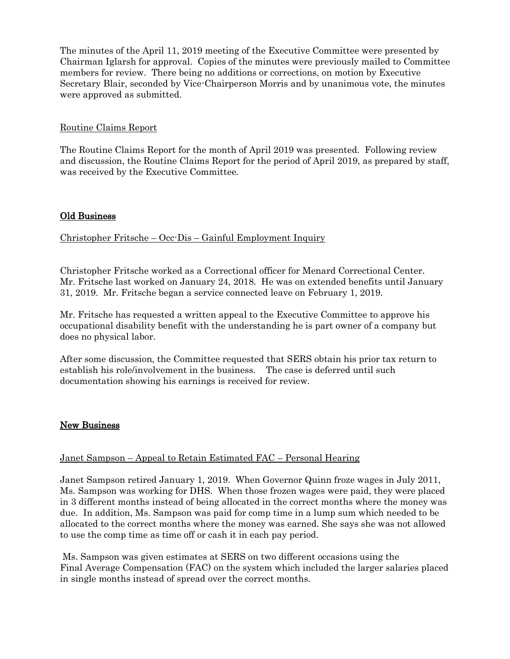The minutes of the April 11, 2019 meeting of the Executive Committee were presented by Chairman Iglarsh for approval. Copies of the minutes were previously mailed to Committee members for review. There being no additions or corrections, on motion by Executive Secretary Blair, seconded by Vice-Chairperson Morris and by unanimous vote, the minutes were approved as submitted.

## Routine Claims Report

The Routine Claims Report for the month of April 2019 was presented. Following review and discussion, the Routine Claims Report for the period of April 2019, as prepared by staff, was received by the Executive Committee.

## Old Business

Christopher Fritsche – Occ-Dis – Gainful Employment Inquiry

Christopher Fritsche worked as a Correctional officer for Menard Correctional Center. Mr. Fritsche last worked on January 24, 2018. He was on extended benefits until January 31, 2019. Mr. Fritsche began a service connected leave on February 1, 2019.

Mr. Fritsche has requested a written appeal to the Executive Committee to approve his occupational disability benefit with the understanding he is part owner of a company but does no physical labor.

After some discussion, the Committee requested that SERS obtain his prior tax return to establish his role/involvement in the business. The case is deferred until such documentation showing his earnings is received for review.

## New Business

## Janet Sampson – Appeal to Retain Estimated FAC – Personal Hearing

Janet Sampson retired January 1, 2019. When Governor Quinn froze wages in July 2011, Ms. Sampson was working for DHS. When those frozen wages were paid, they were placed in 3 different months instead of being allocated in the correct months where the money was due. In addition, Ms. Sampson was paid for comp time in a lump sum which needed to be allocated to the correct months where the money was earned. She says she was not allowed to use the comp time as time off or cash it in each pay period.

Ms. Sampson was given estimates at SERS on two different occasions using the Final Average Compensation (FAC) on the system which included the larger salaries placed in single months instead of spread over the correct months.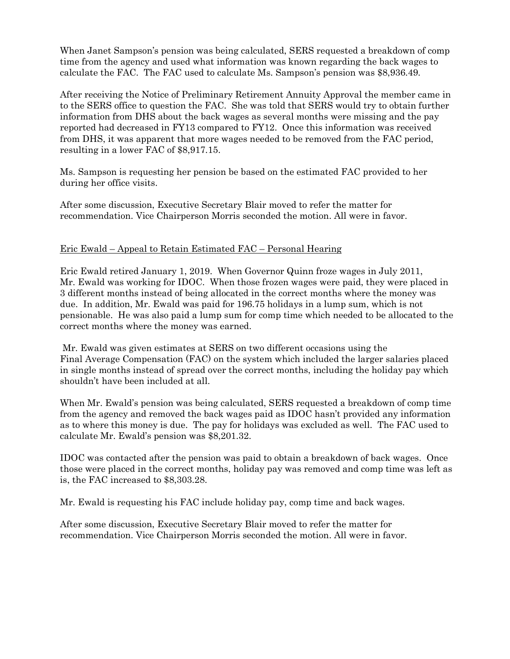When Janet Sampson's pension was being calculated, SERS requested a breakdown of comp time from the agency and used what information was known regarding the back wages to calculate the FAC. The FAC used to calculate Ms. Sampson's pension was \$8,936.49.

After receiving the Notice of Preliminary Retirement Annuity Approval the member came in to the SERS office to question the FAC. She was told that SERS would try to obtain further information from DHS about the back wages as several months were missing and the pay reported had decreased in FY13 compared to FY12. Once this information was received from DHS, it was apparent that more wages needed to be removed from the FAC period, resulting in a lower FAC of \$8,917.15.

Ms. Sampson is requesting her pension be based on the estimated FAC provided to her during her office visits.

After some discussion, Executive Secretary Blair moved to refer the matter for recommendation. Vice Chairperson Morris seconded the motion. All were in favor.

# Eric Ewald – Appeal to Retain Estimated FAC – Personal Hearing

Eric Ewald retired January 1, 2019. When Governor Quinn froze wages in July 2011, Mr. Ewald was working for IDOC. When those frozen wages were paid, they were placed in 3 different months instead of being allocated in the correct months where the money was due. In addition, Mr. Ewald was paid for 196.75 holidays in a lump sum, which is not pensionable. He was also paid a lump sum for comp time which needed to be allocated to the correct months where the money was earned.

Mr. Ewald was given estimates at SERS on two different occasions using the Final Average Compensation (FAC) on the system which included the larger salaries placed in single months instead of spread over the correct months, including the holiday pay which shouldn't have been included at all.

When Mr. Ewald's pension was being calculated, SERS requested a breakdown of comp time from the agency and removed the back wages paid as IDOC hasn't provided any information as to where this money is due. The pay for holidays was excluded as well. The FAC used to calculate Mr. Ewald's pension was \$8,201.32.

IDOC was contacted after the pension was paid to obtain a breakdown of back wages. Once those were placed in the correct months, holiday pay was removed and comp time was left as is, the FAC increased to \$8,303.28.

Mr. Ewald is requesting his FAC include holiday pay, comp time and back wages.

After some discussion, Executive Secretary Blair moved to refer the matter for recommendation. Vice Chairperson Morris seconded the motion. All were in favor.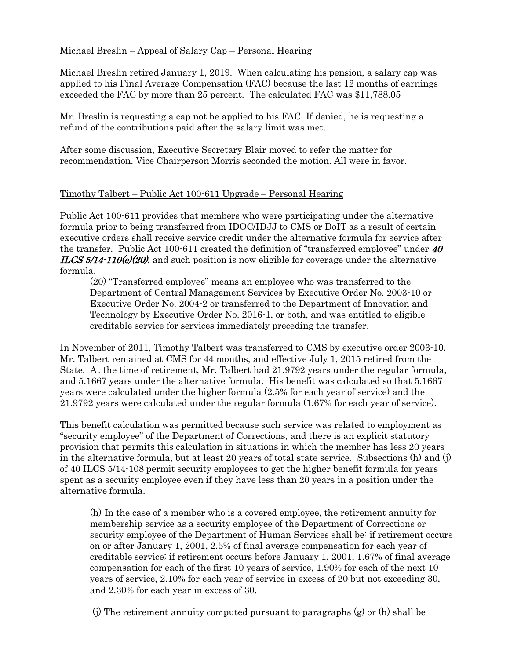# Michael Breslin – Appeal of Salary Cap – Personal Hearing

Michael Breslin retired January 1, 2019. When calculating his pension, a salary cap was applied to his Final Average Compensation (FAC) because the last 12 months of earnings exceeded the FAC by more than 25 percent. The calculated FAC was \$11,788.05

Mr. Breslin is requesting a cap not be applied to his FAC. If denied, he is requesting a refund of the contributions paid after the salary limit was met.

After some discussion, Executive Secretary Blair moved to refer the matter for recommendation. Vice Chairperson Morris seconded the motion. All were in favor.

## Timothy Talbert – Public Act 100-611 Upgrade – Personal Hearing

Public Act 100-611 provides that members who were participating under the alternative formula prior to being transferred from IDOC/IDJJ to CMS or DoIT as a result of certain executive orders shall receive service credit under the alternative formula for service after the transfer. Public Act 100-611 created the definition of "transferred employee" under 40 **ILCS 5/14-110(c)(20)**, and such position is now eligible for coverage under the alternative formula.

(20) "Transferred employee" means an employee who was transferred to the Department of Central Management Services by Executive Order No. 2003-10 or Executive Order No. 2004-2 or transferred to the Department of Innovation and Technology by Executive Order No. 2016-1, or both, and was entitled to eligible creditable service for services immediately preceding the transfer.

In November of 2011, Timothy Talbert was transferred to CMS by executive order 2003-10. Mr. Talbert remained at CMS for 44 months, and effective July 1, 2015 retired from the State. At the time of retirement, Mr. Talbert had 21.9792 years under the regular formula, and 5.1667 years under the alternative formula. His benefit was calculated so that 5.1667 years were calculated under the higher formula (2.5% for each year of service) and the 21.9792 years were calculated under the regular formula (1.67% for each year of service).

This benefit calculation was permitted because such service was related to employment as "security employee" of the Department of Corrections, and there is an explicit statutory provision that permits this calculation in situations in which the member has less 20 years in the alternative formula, but at least 20 years of total state service. Subsections (h) and (j) of 40 ILCS 5/14-108 permit security employees to get the higher benefit formula for years spent as a security employee even if they have less than 20 years in a position under the alternative formula.

(h) In the case of a member who is a covered employee, the retirement annuity for membership service as a security employee of the Department of Corrections or security employee of the Department of Human Services shall be: if retirement occurs on or after January 1, 2001, 2.5% of final average compensation for each year of creditable service; if retirement occurs before January 1, 2001, 1.67% of final average compensation for each of the first 10 years of service, 1.90% for each of the next 10 years of service, 2.10% for each year of service in excess of 20 but not exceeding 30, and 2.30% for each year in excess of 30.

(j) The retirement annuity computed pursuant to paragraphs (g) or (h) shall be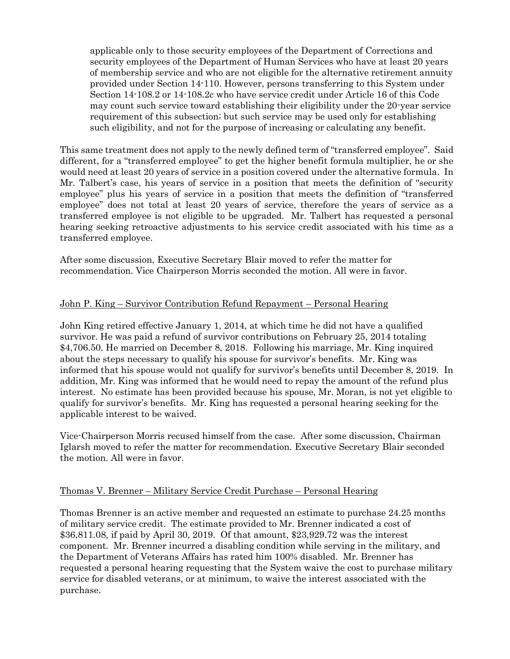applicable only to those security employees of the Department of Corrections and security employees of the Department of Human Services who have at least 20 years of membership service and who are not eligible for the alternative retirement annuity provided under Section 14-110. However, persons transferring to this System under Section 14-108.2 or 14-108.2c who have service credit under Article 16 of this Code may count such service toward establishing their eligibility under the 20-year service requirement of this subsection; but such service may be used only for establishing such eligibility, and not for the purpose of increasing or calculating any benefit.

This same treatment does not apply to the newly defined term of "transferred employee". Said different, for a "transferred employee" to get the higher benefit formula multiplier, he or she would need at least 20 years of service in a position covered under the alternative formula. In Mr. Talbert's case, his years of service in a position that meets the definition of "security employee" plus his years of service in a position that meets the definition of "transferred employee" does not total at least 20 years of service, therefore the years of service as a transferred employee is not eligible to be upgraded. Mr. Talbert has requested a personal hearing seeking retroactive adjustments to his service credit associated with his time as a transferred employee.

After some discussion, Executive Secretary Blair moved to refer the matter for recommendation. Vice Chairperson Morris seconded the motion. All were in favor.

## John P. King – Survivor Contribution Refund Repayment – Personal Hearing

John King retired effective January 1, 2014, at which time he did not have a qualified survivor. He was paid a refund of survivor contributions on February 25, 2014 totaling \$4,706.50. He married on December 8, 2018. Following his marriage, Mr. King inquired about the steps necessary to qualify his spouse for survivor's benefits. Mr. King was informed that his spouse would not qualify for survivor's benefits until December 8, 2019. In addition, Mr. King was informed that he would need to repay the amount of the refund plus interest. No estimate has been provided because his spouse, Mr. Moran, is not yet eligible to qualify for survivor's benefits. Mr. King has requested a personal hearing seeking for the applicable interest to be waived.

Vice-Chairperson Morris recused himself from the case. After some discussion, Chairman Iglarsh moved to refer the matter for recommendation. Executive Secretary Blair seconded the motion. All were in favor.

#### Thomas V. Brenner – Military Service Credit Purchase – Personal Hearing

Thomas Brenner is an active member and requested an estimate to purchase 24.25 months of military service credit. The estimate provided to Mr. Brenner indicated a cost of \$36,811.08, if paid by April 30, 2019. Of that amount, \$23,929.72 was the interest component. Mr. Brenner incurred a disabling condition while serving in the military, and the Department of Veterans Affairs has rated him 100% disabled. Mr. Brenner has requested a personal hearing requesting that the System waive the cost to purchase military service for disabled veterans, or at minimum, to waive the interest associated with the purchase.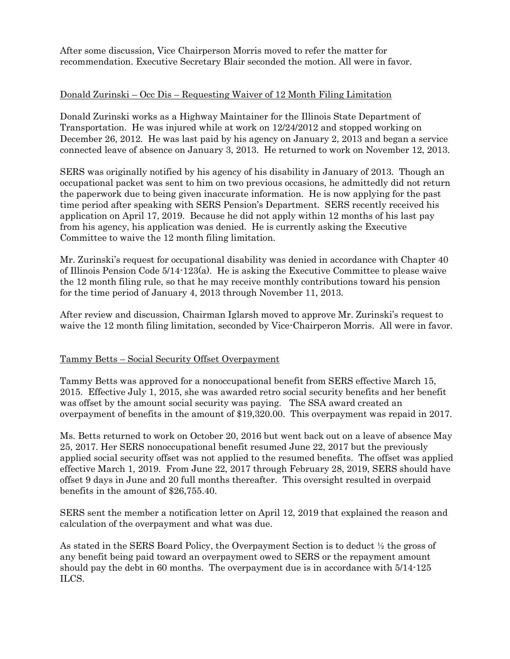After some discussion, Vice Chairperson Morris moved to refer the matter for recommendation. Executive Secretary Blair seconded the motion. All were in favor.

## Donald Zurinski – Occ Dis – Requesting Waiver of 12 Month Filing Limitation

Donald Zurinski works as a Highway Maintainer for the Illinois State Department of Transportation. He was injured while at work on 12/24/2012 and stopped working on December 26, 2012. He was last paid by his agency on January 2, 2013 and began a service connected leave of absence on January 3, 2013. He returned to work on November 12, 2013.

SERS was originally notified by his agency of his disability in January of 2013. Though an occupational packet was sent to him on two previous occasions, he admittedly did not return the paperwork due to being given inaccurate information. He is now applying for the past time period after speaking with SERS Pension's Department. SERS recently received his application on April 17, 2019. Because he did not apply within 12 months of his last pay from his agency, his application was denied. He is currently asking the Executive Committee to waive the 12 month filing limitation.

Mr. Zurinski's request for occupational disability was denied in accordance with Chapter 40 of Illinois Pension Code 5/14-123(a). He is asking the Executive Committee to please waive the 12 month filing rule, so that he may receive monthly contributions toward his pension for the time period of January 4, 2013 through November 11, 2013.

After review and discussion, Chairman Iglarsh moved to approve Mr. Zurinski's request to waive the 12 month filing limitation, seconded by Vice-Chairperon Morris. All were in favor.

## Tammy Betts – Social Security Offset Overpayment

Tammy Betts was approved for a nonoccupational benefit from SERS effective March 15, 2015. Effective July 1, 2015, she was awarded retro social security benefits and her benefit was offset by the amount social security was paying. The SSA award created an overpayment of benefits in the amount of \$19,320.00. This overpayment was repaid in 2017.

Ms. Betts returned to work on October 20, 2016 but went back out on a leave of absence May 25, 2017. Her SERS nonoccupational benefit resumed June 22, 2017 but the previously applied social security offset was not applied to the resumed benefits. The offset was applied effective March 1, 2019. From June 22, 2017 through February 28, 2019, SERS should have offset 9 days in June and 20 full months thereafter. This oversight resulted in overpaid benefits in the amount of \$26,755.40.

SERS sent the member a notification letter on April 12, 2019 that explained the reason and calculation of the overpayment and what was due.

As stated in the SERS Board Policy, the Overpayment Section is to deduct ½ the gross of any benefit being paid toward an overpayment owed to SERS or the repayment amount should pay the debt in 60 months. The overpayment due is in accordance with 5/14-125 ILCS.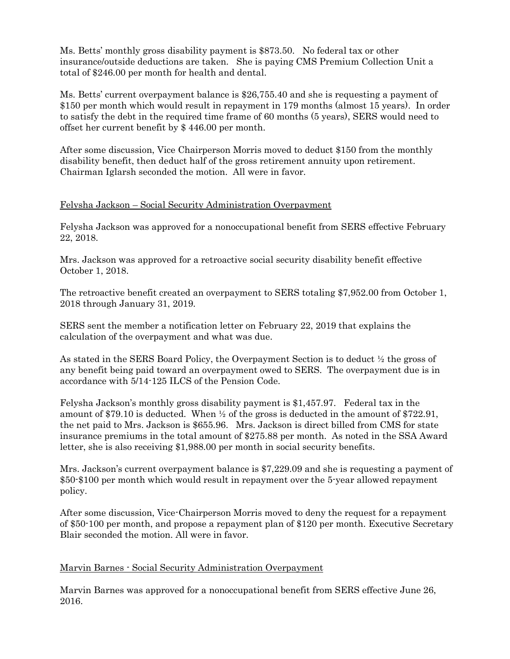Ms. Betts' monthly gross disability payment is \$873.50. No federal tax or other insurance/outside deductions are taken. She is paying CMS Premium Collection Unit a total of \$246.00 per month for health and dental.

Ms. Betts' current overpayment balance is \$26,755.40 and she is requesting a payment of \$150 per month which would result in repayment in 179 months (almost 15 years). In order to satisfy the debt in the required time frame of 60 months (5 years), SERS would need to offset her current benefit by \$ 446.00 per month.

After some discussion, Vice Chairperson Morris moved to deduct \$150 from the monthly disability benefit, then deduct half of the gross retirement annuity upon retirement. Chairman Iglarsh seconded the motion. All were in favor.

## Felysha Jackson – Social Security Administration Overpayment

Felysha Jackson was approved for a nonoccupational benefit from SERS effective February 22, 2018.

Mrs. Jackson was approved for a retroactive social security disability benefit effective October 1, 2018.

The retroactive benefit created an overpayment to SERS totaling \$7,952.00 from October 1, 2018 through January 31, 2019.

SERS sent the member a notification letter on February 22, 2019 that explains the calculation of the overpayment and what was due.

As stated in the SERS Board Policy, the Overpayment Section is to deduct ½ the gross of any benefit being paid toward an overpayment owed to SERS. The overpayment due is in accordance with 5/14-125 ILCS of the Pension Code.

Felysha Jackson's monthly gross disability payment is \$1,457.97. Federal tax in the amount of \$79.10 is deducted. When  $\frac{1}{2}$  of the gross is deducted in the amount of \$722.91, the net paid to Mrs. Jackson is \$655.96. Mrs. Jackson is direct billed from CMS for state insurance premiums in the total amount of \$275.88 per month. As noted in the SSA Award letter, she is also receiving \$1,988.00 per month in social security benefits.

Mrs. Jackson's current overpayment balance is \$7,229.09 and she is requesting a payment of \$50-\$100 per month which would result in repayment over the 5-year allowed repayment policy.

After some discussion, Vice-Chairperson Morris moved to deny the request for a repayment of \$50-100 per month, and propose a repayment plan of \$120 per month. Executive Secretary Blair seconded the motion. All were in favor.

## Marvin Barnes - Social Security Administration Overpayment

Marvin Barnes was approved for a nonoccupational benefit from SERS effective June 26, 2016.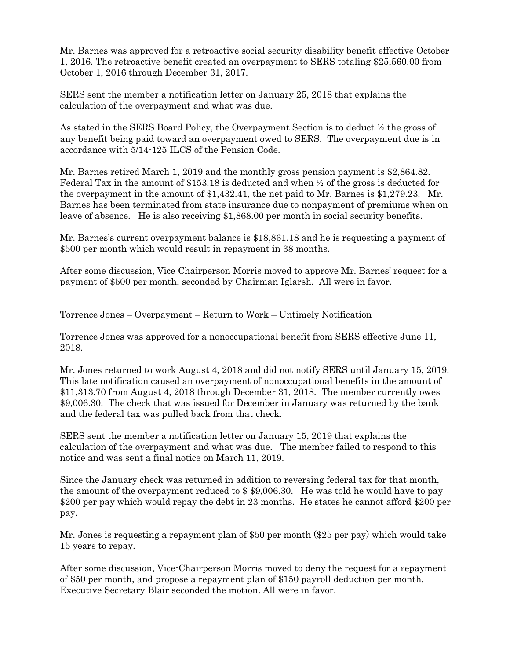Mr. Barnes was approved for a retroactive social security disability benefit effective October 1, 2016. The retroactive benefit created an overpayment to SERS totaling \$25,560.00 from October 1, 2016 through December 31, 2017.

SERS sent the member a notification letter on January 25, 2018 that explains the calculation of the overpayment and what was due.

As stated in the SERS Board Policy, the Overpayment Section is to deduct ½ the gross of any benefit being paid toward an overpayment owed to SERS. The overpayment due is in accordance with 5/14-125 ILCS of the Pension Code.

Mr. Barnes retired March 1, 2019 and the monthly gross pension payment is \$2,864.82. Federal Tax in the amount of \$153.18 is deducted and when ½ of the gross is deducted for the overpayment in the amount of \$1,432.41, the net paid to Mr. Barnes is \$1,279.23. Mr. Barnes has been terminated from state insurance due to nonpayment of premiums when on leave of absence. He is also receiving \$1,868.00 per month in social security benefits.

Mr. Barnes's current overpayment balance is \$18,861.18 and he is requesting a payment of \$500 per month which would result in repayment in 38 months.

After some discussion, Vice Chairperson Morris moved to approve Mr. Barnes' request for a payment of \$500 per month, seconded by Chairman Iglarsh. All were in favor.

## Torrence Jones – Overpayment – Return to Work – Untimely Notification

Torrence Jones was approved for a nonoccupational benefit from SERS effective June 11, 2018.

Mr. Jones returned to work August 4, 2018 and did not notify SERS until January 15, 2019. This late notification caused an overpayment of nonoccupational benefits in the amount of \$11,313.70 from August 4, 2018 through December 31, 2018. The member currently owes \$9,006.30. The check that was issued for December in January was returned by the bank and the federal tax was pulled back from that check.

SERS sent the member a notification letter on January 15, 2019 that explains the calculation of the overpayment and what was due. The member failed to respond to this notice and was sent a final notice on March 11, 2019.

Since the January check was returned in addition to reversing federal tax for that month, the amount of the overpayment reduced to \$ \$9,006.30. He was told he would have to pay \$200 per pay which would repay the debt in 23 months. He states he cannot afford \$200 per pay.

Mr. Jones is requesting a repayment plan of \$50 per month (\$25 per pay) which would take 15 years to repay.

After some discussion, Vice-Chairperson Morris moved to deny the request for a repayment of \$50 per month, and propose a repayment plan of \$150 payroll deduction per month. Executive Secretary Blair seconded the motion. All were in favor.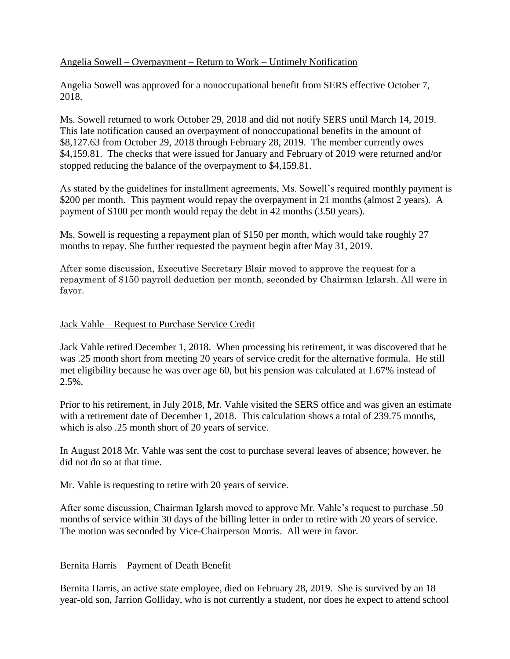## Angelia Sowell – Overpayment – Return to Work – Untimely Notification

Angelia Sowell was approved for a nonoccupational benefit from SERS effective October 7, 2018.

Ms. Sowell returned to work October 29, 2018 and did not notify SERS until March 14, 2019. This late notification caused an overpayment of nonoccupational benefits in the amount of \$8,127.63 from October 29, 2018 through February 28, 2019. The member currently owes \$4,159.81. The checks that were issued for January and February of 2019 were returned and/or stopped reducing the balance of the overpayment to \$4,159.81.

As stated by the guidelines for installment agreements, Ms. Sowell's required monthly payment is \$200 per month. This payment would repay the overpayment in 21 months (almost 2 years). A payment of \$100 per month would repay the debt in 42 months (3.50 years).

Ms. Sowell is requesting a repayment plan of \$150 per month, which would take roughly 27 months to repay. She further requested the payment begin after May 31, 2019.

After some discussion, Executive Secretary Blair moved to approve the request for a repayment of \$150 payroll deduction per month, seconded by Chairman Iglarsh. All were in favor.

## Jack Vahle – Request to Purchase Service Credit

Jack Vahle retired December 1, 2018. When processing his retirement, it was discovered that he was .25 month short from meeting 20 years of service credit for the alternative formula. He still met eligibility because he was over age 60, but his pension was calculated at 1.67% instead of  $2.5\%$ .

Prior to his retirement, in July 2018, Mr. Vahle visited the SERS office and was given an estimate with a retirement date of December 1, 2018. This calculation shows a total of 239.75 months, which is also .25 month short of 20 years of service.

In August 2018 Mr. Vahle was sent the cost to purchase several leaves of absence; however, he did not do so at that time.

Mr. Vahle is requesting to retire with 20 years of service.

After some discussion, Chairman Iglarsh moved to approve Mr. Vahle's request to purchase .50 months of service within 30 days of the billing letter in order to retire with 20 years of service. The motion was seconded by Vice-Chairperson Morris. All were in favor.

# Bernita Harris – Payment of Death Benefit

Bernita Harris, an active state employee, died on February 28, 2019. She is survived by an 18 year-old son, Jarrion Golliday, who is not currently a student, nor does he expect to attend school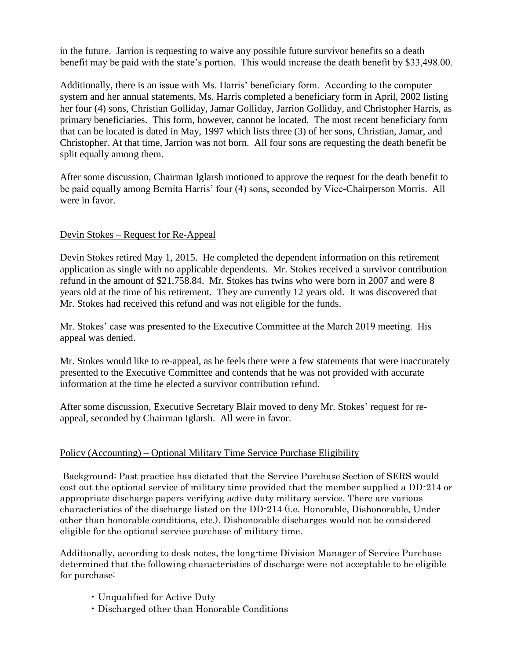in the future. Jarrion is requesting to waive any possible future survivor benefits so a death benefit may be paid with the state's portion. This would increase the death benefit by \$33,498.00.

Additionally, there is an issue with Ms. Harris' beneficiary form. According to the computer system and her annual statements, Ms. Harris completed a beneficiary form in April, 2002 listing her four (4) sons, Christian Golliday, Jamar Golliday, Jarrion Golliday, and Christopher Harris, as primary beneficiaries. This form, however, cannot be located. The most recent beneficiary form that can be located is dated in May, 1997 which lists three (3) of her sons, Christian, Jamar, and Christopher. At that time, Jarrion was not born. All four sons are requesting the death benefit be split equally among them.

After some discussion, Chairman Iglarsh motioned to approve the request for the death benefit to be paid equally among Bernita Harris' four (4) sons, seconded by Vice-Chairperson Morris. All were in favor.

## Devin Stokes – Request for Re-Appeal

Devin Stokes retired May 1, 2015. He completed the dependent information on this retirement application as single with no applicable dependents. Mr. Stokes received a survivor contribution refund in the amount of \$21,758.84. Mr. Stokes has twins who were born in 2007 and were 8 years old at the time of his retirement. They are currently 12 years old. It was discovered that Mr. Stokes had received this refund and was not eligible for the funds.

Mr. Stokes' case was presented to the Executive Committee at the March 2019 meeting. His appeal was denied.

Mr. Stokes would like to re-appeal, as he feels there were a few statements that were inaccurately presented to the Executive Committee and contends that he was not provided with accurate information at the time he elected a survivor contribution refund.

After some discussion, Executive Secretary Blair moved to deny Mr. Stokes' request for reappeal, seconded by Chairman Iglarsh. All were in favor.

# Policy (Accounting) – Optional Military Time Service Purchase Eligibility

Background: Past practice has dictated that the Service Purchase Section of SERS would cost out the optional service of military time provided that the member supplied a DD-214 or appropriate discharge papers verifying active duty military service. There are various characteristics of the discharge listed on the DD-214 (i.e. Honorable, Dishonorable, Under other than honorable conditions, etc.). Dishonorable discharges would not be considered eligible for the optional service purchase of military time.

Additionally, according to desk notes, the long-time Division Manager of Service Purchase determined that the following characteristics of discharge were not acceptable to be eligible for purchase:

- Unqualified for Active Duty
- Discharged other than Honorable Conditions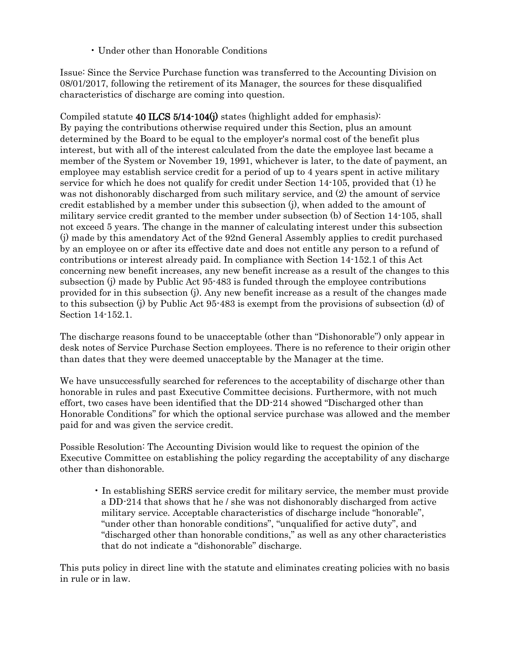• Under other than Honorable Conditions

Issue: Since the Service Purchase function was transferred to the Accounting Division on 08/01/2017, following the retirement of its Manager, the sources for these disqualified characteristics of discharge are coming into question.

Compiled statute 40 ILCS 5/14-104(j) states (highlight added for emphasis): By paying the contributions otherwise required under this Section, plus an amount determined by the Board to be equal to the employer's normal cost of the benefit plus interest, but with all of the interest calculated from the date the employee last became a member of the System or November 19, 1991, whichever is later, to the date of payment, an employee may establish service credit for a period of up to 4 years spent in active military service for which he does not qualify for credit under Section 14-105, provided that (1) he was not dishonorably discharged from such military service, and (2) the amount of service credit established by a member under this subsection (j), when added to the amount of military service credit granted to the member under subsection (b) of Section 14-105, shall not exceed 5 years. The change in the manner of calculating interest under this subsection (j) made by this amendatory Act of the 92nd General Assembly applies to credit purchased by an employee on or after its effective date and does not entitle any person to a refund of contributions or interest already paid. In compliance with Section 14-152.1 of this Act concerning new benefit increases, any new benefit increase as a result of the changes to this subsection (j) made by Public Act 95-483 is funded through the employee contributions provided for in this subsection (j). Any new benefit increase as a result of the changes made to this subsection (j) by Public Act 95-483 is exempt from the provisions of subsection (d) of Section 14-152.1.

The discharge reasons found to be unacceptable (other than "Dishonorable") only appear in desk notes of Service Purchase Section employees. There is no reference to their origin other than dates that they were deemed unacceptable by the Manager at the time.

We have unsuccessfully searched for references to the acceptability of discharge other than honorable in rules and past Executive Committee decisions. Furthermore, with not much effort, two cases have been identified that the DD-214 showed "Discharged other than Honorable Conditions" for which the optional service purchase was allowed and the member paid for and was given the service credit.

Possible Resolution: The Accounting Division would like to request the opinion of the Executive Committee on establishing the policy regarding the acceptability of any discharge other than dishonorable.

• In establishing SERS service credit for military service, the member must provide a DD-214 that shows that he / she was not dishonorably discharged from active military service. Acceptable characteristics of discharge include "honorable", "under other than honorable conditions", "unqualified for active duty", and "discharged other than honorable conditions," as well as any other characteristics that do not indicate a "dishonorable" discharge.

This puts policy in direct line with the statute and eliminates creating policies with no basis in rule or in law.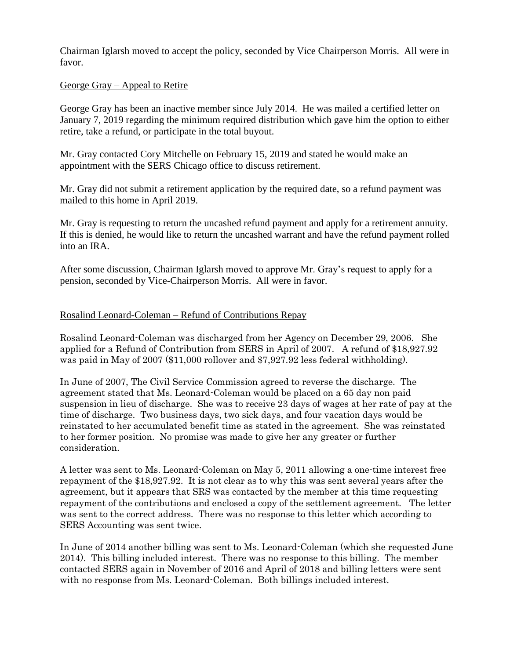Chairman Iglarsh moved to accept the policy, seconded by Vice Chairperson Morris. All were in favor.

## George Gray – Appeal to Retire

George Gray has been an inactive member since July 2014. He was mailed a certified letter on January 7, 2019 regarding the minimum required distribution which gave him the option to either retire, take a refund, or participate in the total buyout.

Mr. Gray contacted Cory Mitchelle on February 15, 2019 and stated he would make an appointment with the SERS Chicago office to discuss retirement.

Mr. Gray did not submit a retirement application by the required date, so a refund payment was mailed to this home in April 2019.

Mr. Gray is requesting to return the uncashed refund payment and apply for a retirement annuity. If this is denied, he would like to return the uncashed warrant and have the refund payment rolled into an IRA.

After some discussion, Chairman Iglarsh moved to approve Mr. Gray's request to apply for a pension, seconded by Vice-Chairperson Morris. All were in favor.

## Rosalind Leonard-Coleman – Refund of Contributions Repay

Rosalind Leonard-Coleman was discharged from her Agency on December 29, 2006. She applied for a Refund of Contribution from SERS in April of 2007. A refund of \$18,927.92 was paid in May of 2007 (\$11,000 rollover and \$7,927.92 less federal withholding).

In June of 2007, The Civil Service Commission agreed to reverse the discharge. The agreement stated that Ms. Leonard-Coleman would be placed on a 65 day non paid suspension in lieu of discharge. She was to receive 23 days of wages at her rate of pay at the time of discharge. Two business days, two sick days, and four vacation days would be reinstated to her accumulated benefit time as stated in the agreement. She was reinstated to her former position. No promise was made to give her any greater or further consideration.

A letter was sent to Ms. Leonard-Coleman on May 5, 2011 allowing a one-time interest free repayment of the \$18,927.92. It is not clear as to why this was sent several years after the agreement, but it appears that SRS was contacted by the member at this time requesting repayment of the contributions and enclosed a copy of the settlement agreement. The letter was sent to the correct address. There was no response to this letter which according to SERS Accounting was sent twice.

In June of 2014 another billing was sent to Ms. Leonard-Coleman (which she requested June 2014). This billing included interest. There was no response to this billing. The member contacted SERS again in November of 2016 and April of 2018 and billing letters were sent with no response from Ms. Leonard-Coleman. Both billings included interest.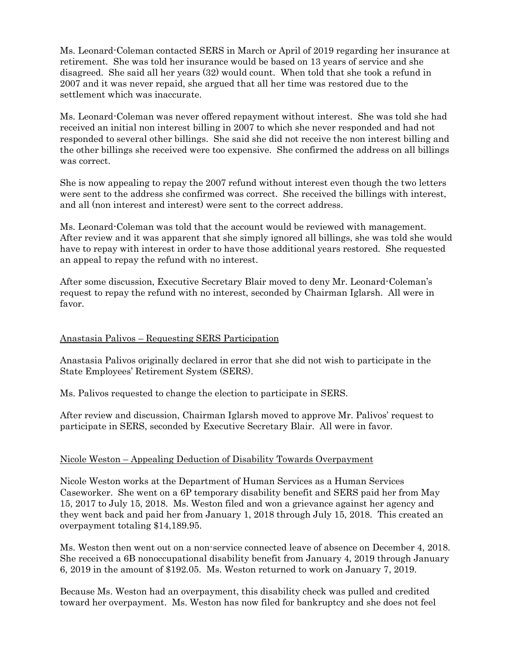Ms. Leonard-Coleman contacted SERS in March or April of 2019 regarding her insurance at retirement. She was told her insurance would be based on 13 years of service and she disagreed. She said all her years (32) would count. When told that she took a refund in 2007 and it was never repaid, she argued that all her time was restored due to the settlement which was inaccurate.

Ms. Leonard-Coleman was never offered repayment without interest. She was told she had received an initial non interest billing in 2007 to which she never responded and had not responded to several other billings. She said she did not receive the non interest billing and the other billings she received were too expensive. She confirmed the address on all billings was correct.

She is now appealing to repay the 2007 refund without interest even though the two letters were sent to the address she confirmed was correct. She received the billings with interest, and all (non interest and interest) were sent to the correct address.

Ms. Leonard-Coleman was told that the account would be reviewed with management. After review and it was apparent that she simply ignored all billings, she was told she would have to repay with interest in order to have those additional years restored. She requested an appeal to repay the refund with no interest.

After some discussion, Executive Secretary Blair moved to deny Mr. Leonard-Coleman's request to repay the refund with no interest, seconded by Chairman Iglarsh. All were in favor.

## Anastasia Palivos – Requesting SERS Participation

Anastasia Palivos originally declared in error that she did not wish to participate in the State Employees' Retirement System (SERS).

Ms. Palivos requested to change the election to participate in SERS.

After review and discussion, Chairman Iglarsh moved to approve Mr. Palivos' request to participate in SERS, seconded by Executive Secretary Blair. All were in favor.

#### Nicole Weston – Appealing Deduction of Disability Towards Overpayment

Nicole Weston works at the Department of Human Services as a Human Services Caseworker. She went on a 6P temporary disability benefit and SERS paid her from May 15, 2017 to July 15, 2018. Ms. Weston filed and won a grievance against her agency and they went back and paid her from January 1, 2018 through July 15, 2018. This created an overpayment totaling \$14,189.95.

Ms. Weston then went out on a non-service connected leave of absence on December 4, 2018. She received a 6B nonoccupational disability benefit from January 4, 2019 through January 6, 2019 in the amount of \$192.05. Ms. Weston returned to work on January 7, 2019.

Because Ms. Weston had an overpayment, this disability check was pulled and credited toward her overpayment. Ms. Weston has now filed for bankruptcy and she does not feel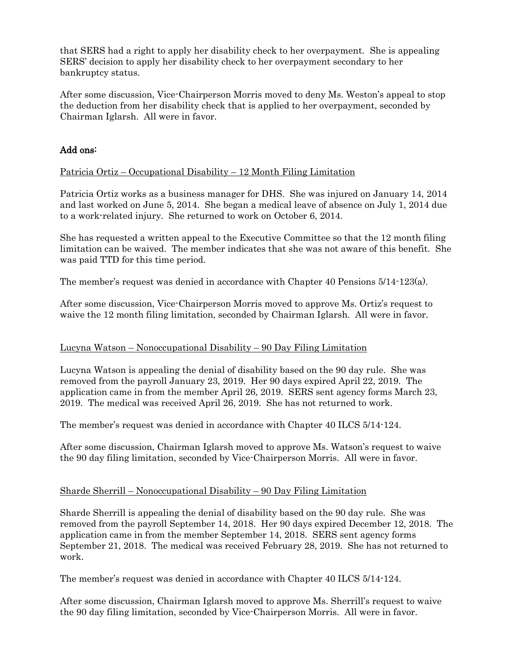that SERS had a right to apply her disability check to her overpayment. She is appealing SERS' decision to apply her disability check to her overpayment secondary to her bankruptcy status.

After some discussion, Vice-Chairperson Morris moved to deny Ms. Weston's appeal to stop the deduction from her disability check that is applied to her overpayment, seconded by Chairman Iglarsh. All were in favor.

## Add ons:

## Patricia Ortiz – Occupational Disability – 12 Month Filing Limitation

Patricia Ortiz works as a business manager for DHS. She was injured on January 14, 2014 and last worked on June 5, 2014. She began a medical leave of absence on July 1, 2014 due to a work-related injury. She returned to work on October 6, 2014.

She has requested a written appeal to the Executive Committee so that the 12 month filing limitation can be waived. The member indicates that she was not aware of this benefit. She was paid TTD for this time period.

The member's request was denied in accordance with Chapter 40 Pensions 5/14-123(a).

After some discussion, Vice-Chairperson Morris moved to approve Ms. Ortiz's request to waive the 12 month filing limitation, seconded by Chairman Iglarsh. All were in favor.

## Lucyna Watson – Nonoccupational Disability – 90 Day Filing Limitation

Lucyna Watson is appealing the denial of disability based on the 90 day rule. She was removed from the payroll January 23, 2019. Her 90 days expired April 22, 2019. The application came in from the member April 26, 2019. SERS sent agency forms March 23, 2019. The medical was received April 26, 2019. She has not returned to work.

The member's request was denied in accordance with Chapter 40 ILCS 5/14-124.

After some discussion, Chairman Iglarsh moved to approve Ms. Watson's request to waive the 90 day filing limitation, seconded by Vice-Chairperson Morris. All were in favor.

#### Sharde Sherrill – Nonoccupational Disability – 90 Day Filing Limitation

Sharde Sherrill is appealing the denial of disability based on the 90 day rule. She was removed from the payroll September 14, 2018. Her 90 days expired December 12, 2018. The application came in from the member September 14, 2018. SERS sent agency forms September 21, 2018. The medical was received February 28, 2019. She has not returned to work.

The member's request was denied in accordance with Chapter 40 ILCS 5/14-124.

After some discussion, Chairman Iglarsh moved to approve Ms. Sherrill's request to waive the 90 day filing limitation, seconded by Vice-Chairperson Morris. All were in favor.